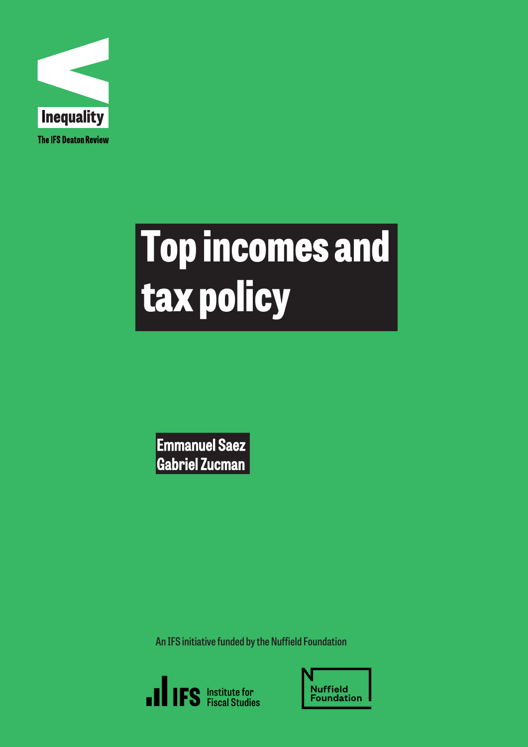

# Top incomes and tax policy

Emmanuel Saez Gabriel Zucman

**An IFS initiative funded by the Nuffield Foundation**



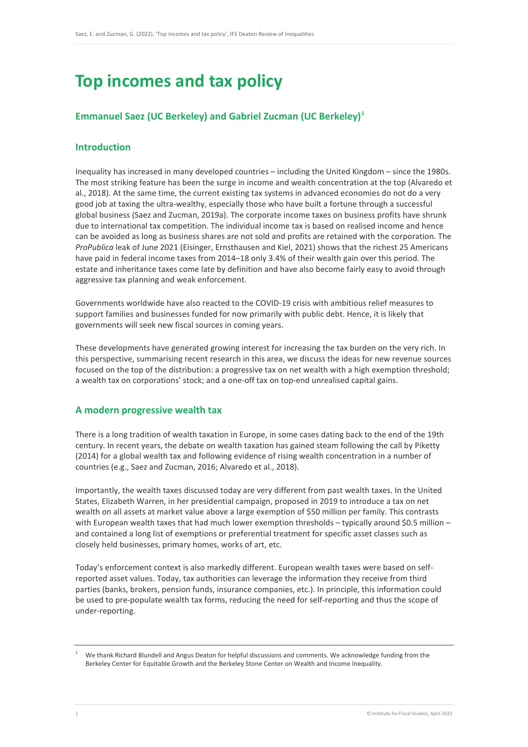## **Top incomes and tax policy**

### **Emmanuel Saez (UC Berkeley) and Gabriel Zucman (UC Berkeley) [1](#page-1-0)**

#### **Introduction**

Inequality has increased in many developed countries – including the United Kingdom – since the 1980s. The most striking feature has been the surge in income and wealth concentration at the top (Alvaredo et al., 2018). At the same time, the current existing tax systems in advanced economies do not do a very good job at taxing the ultra-wealthy, especially those who have built a fortune through a successful global business (Saez and Zucman, 2019a). The corporate income taxes on business profits have shrunk due to international tax competition. The individual income tax is based on realised income and hence can be avoided as long as business shares are not sold and profits are retained with the corporation. The *ProPublica* leak of June 2021 (Eisinger, Ernsthausen and Kiel, 2021) shows that the richest 25 Americans have paid in federal income taxes from 2014–18 only 3.4% of their wealth gain over this period. The estate and inheritance taxes come late by definition and have also become fairly easy to avoid through aggressive tax planning and weak enforcement.

Governments worldwide have also reacted to the COVID-19 crisis with ambitious relief measures to support families and businesses funded for now primarily with public debt. Hence, it is likely that governments will seek new fiscal sources in coming years.

These developments have generated growing interest for increasing the tax burden on the very rich. In this perspective, summarising recent research in this area, we discuss the ideas for new revenue sources focused on the top of the distribution: a progressive tax on net wealth with a high exemption threshold; a wealth tax on corporations' stock; and a one-off tax on top-end unrealised capital gains.

#### **A modern progressive wealth tax**

There is a long tradition of wealth taxation in Europe, in some cases dating back to the end of the 19th century. In recent years, the debate on wealth taxation has gained steam following the call by Piketty (2014) for a global wealth tax and following evidence of rising wealth concentration in a number of countries (e.g., Saez and Zucman, 2016; Alvaredo et al., 2018).

Importantly, the wealth taxes discussed today are very different from past wealth taxes. In the United States, Elizabeth Warren, in her presidential campaign, proposed in 2019 to introduce a tax on net wealth on all assets at market value above a large exemption of \$50 million per family. This contrasts with European wealth taxes that had much lower exemption thresholds – typically around \$0.5 million – and contained a long list of exemptions or preferential treatment for specific asset classes such as closely held businesses, primary homes, works of art, etc.

Today's enforcement context is also markedly different. European wealth taxes were based on selfreported asset values. Today, tax authorities can leverage the information they receive from third parties (banks, brokers, pension funds, insurance companies, etc.). In principle, this information could be used to pre-populate wealth tax forms, reducing the need for self-reporting and thus the scope of under-reporting.

<span id="page-1-0"></span><sup>1</sup> We thank Richard Blundell and Angus Deaton for helpful discussions and comments. We acknowledge funding from the Berkeley Center for Equitable Growth and the Berkeley Stone Center on Wealth and Income Inequality.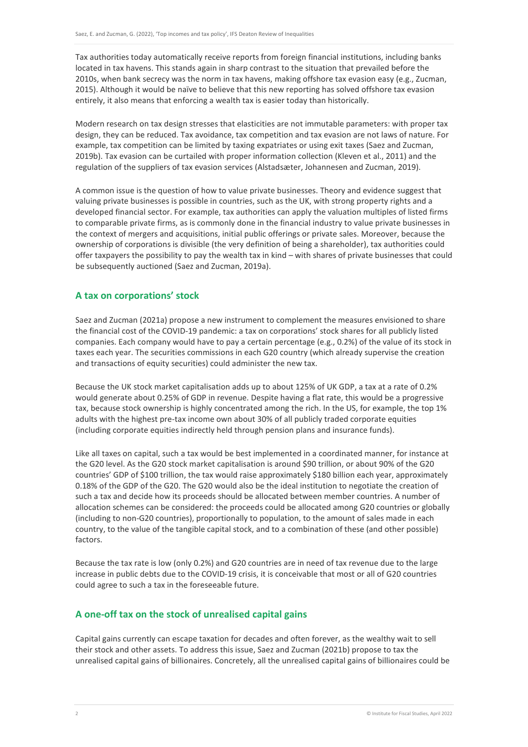Tax authorities today automatically receive reports from foreign financial institutions, including banks located in tax havens. This stands again in sharp contrast to the situation that prevailed before the 2010s, when bank secrecy was the norm in tax havens, making offshore tax evasion easy (e.g., Zucman, 2015). Although it would be naïve to believe that this new reporting has solved offshore tax evasion entirely, it also means that enforcing a wealth tax is easier today than historically.

Modern research on tax design stresses that elasticities are not immutable parameters: with proper tax design, they can be reduced. Tax avoidance, tax competition and tax evasion are not laws of nature. For example, tax competition can be limited by taxing expatriates or using exit taxes (Saez and Zucman, 2019b). Tax evasion can be curtailed with proper information collection (Kleven et al., 2011) and the regulation of the suppliers of tax evasion services (Alstadsæter, Johannesen and Zucman, 2019).

A common issue is the question of how to value private businesses. Theory and evidence suggest that valuing private businesses is possible in countries, such as the UK, with strong property rights and a developed financial sector. For example, tax authorities can apply the valuation multiples of listed firms to comparable private firms, as is commonly done in the financial industry to value private businesses in the context of mergers and acquisitions, initial public offerings or private sales. Moreover, because the ownership of corporations is divisible (the very definition of being a shareholder), tax authorities could offer taxpayers the possibility to pay the wealth tax in kind – with shares of private businesses that could be subsequently auctioned (Saez and Zucman, 2019a).

#### **A tax on corporations' stock**

Saez and Zucman (2021a) propose a new instrument to complement the measures envisioned to share the financial cost of the COVID-19 pandemic: a tax on corporations' stock shares for all publicly listed companies. Each company would have to pay a certain percentage (e.g., 0.2%) of the value of its stock in taxes each year. The securities commissions in each G20 country (which already supervise the creation and transactions of equity securities) could administer the new tax.

Because the UK stock market capitalisation adds up to about 125% of UK GDP, a tax at a rate of 0.2% would generate about 0.25% of GDP in revenue. Despite having a flat rate, this would be a progressive tax, because stock ownership is highly concentrated among the rich. In the US, for example, the top 1% adults with the highest pre-tax income own about 30% of all publicly traded corporate equities (including corporate equities indirectly held through pension plans and insurance funds).

Like all taxes on capital, such a tax would be best implemented in a coordinated manner, for instance at the G20 level. As the G20 stock market capitalisation is around \$90 trillion, or about 90% of the G20 countries' GDP of \$100 trillion, the tax would raise approximately \$180 billion each year, approximately 0.18% of the GDP of the G20. The G20 would also be the ideal institution to negotiate the creation of such a tax and decide how its proceeds should be allocated between member countries. A number of allocation schemes can be considered: the proceeds could be allocated among G20 countries or globally (including to non-G20 countries), proportionally to population, to the amount of sales made in each country, to the value of the tangible capital stock, and to a combination of these (and other possible) factors.

Because the tax rate is low (only 0.2%) and G20 countries are in need of tax revenue due to the large increase in public debts due to the COVID-19 crisis, it is conceivable that most or all of G20 countries could agree to such a tax in the foreseeable future.

#### **A one-off tax on the stock of unrealised capital gains**

Capital gains currently can escape taxation for decades and often forever, as the wealthy wait to sell their stock and other assets. To address this issue, Saez and Zucman (2021b) propose to tax the unrealised capital gains of billionaires. Concretely, all the unrealised capital gains of billionaires could be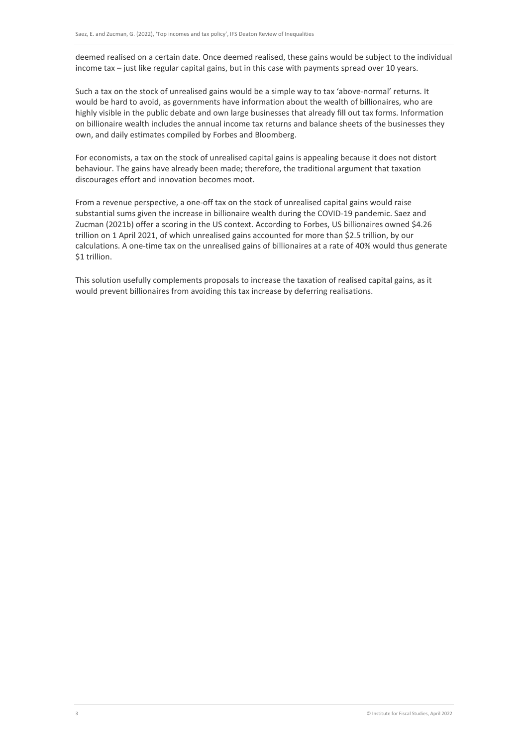deemed realised on a certain date. Once deemed realised, these gains would be subject to the individual income tax – just like regular capital gains, but in this case with payments spread over 10 years.

Such a tax on the stock of unrealised gains would be a simple way to tax 'above-normal' returns. It would be hard to avoid, as governments have information about the wealth of billionaires, who are highly visible in the public debate and own large businesses that already fill out tax forms. Information on billionaire wealth includes the annual income tax returns and balance sheets of the businesses they own, and daily estimates compiled by Forbes and Bloomberg.

For economists, a tax on the stock of unrealised capital gains is appealing because it does not distort behaviour. The gains have already been made; therefore, the traditional argument that taxation discourages effort and innovation becomes moot.

From a revenue perspective, a one-off tax on the stock of unrealised capital gains would raise substantial sums given the increase in billionaire wealth during the COVID-19 pandemic. Saez and Zucman (2021b) offer a scoring in the US context. According to Forbes, US billionaires owned \$4.26 trillion on 1 April 2021, of which unrealised gains accounted for more than \$2.5 trillion, by our calculations. A one-time tax on the unrealised gains of billionaires at a rate of 40% would thus generate \$1 trillion.

This solution usefully complements proposals to increase the taxation of realised capital gains, as it would prevent billionaires from avoiding this tax increase by deferring realisations.